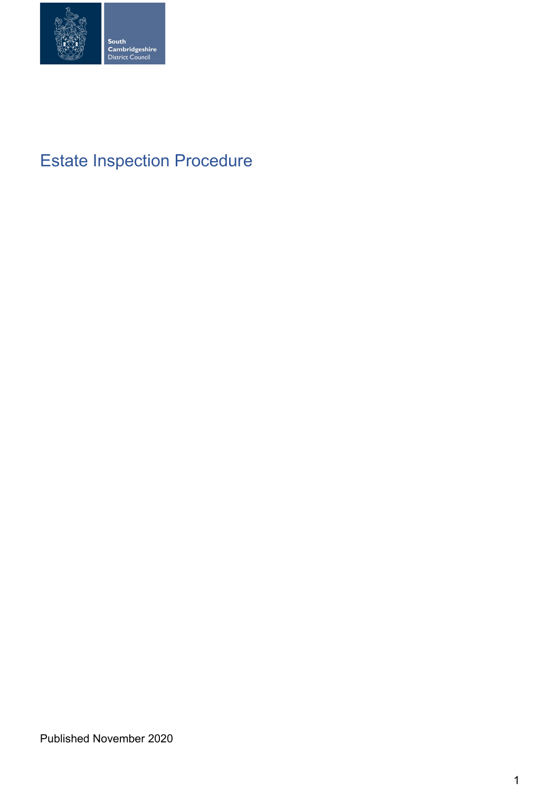

# Estate Inspection Procedure

Published November 2020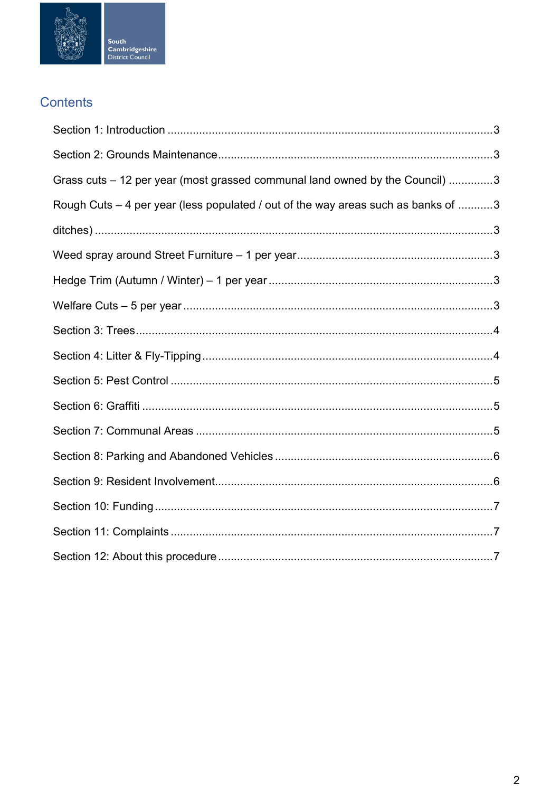

## Contents

| Grass cuts – 12 per year (most grassed communal land owned by the Council) 3      |
|-----------------------------------------------------------------------------------|
| Rough Cuts - 4 per year (less populated / out of the way areas such as banks of 3 |
|                                                                                   |
|                                                                                   |
|                                                                                   |
|                                                                                   |
|                                                                                   |
|                                                                                   |
|                                                                                   |
|                                                                                   |
|                                                                                   |
|                                                                                   |
|                                                                                   |
|                                                                                   |
|                                                                                   |
|                                                                                   |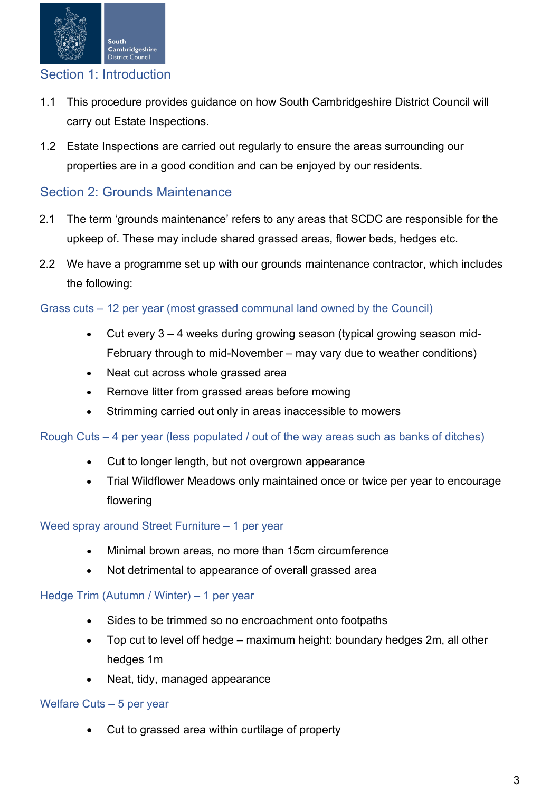

### <span id="page-2-0"></span>Section 1: Introduction

- 1.1 This procedure provides guidance on how South Cambridgeshire District Council will carry out Estate Inspections.
- 1.2 Estate Inspections are carried out regularly to ensure the areas surrounding our properties are in a good condition and can be enjoyed by our residents.

## <span id="page-2-1"></span>Section 2: Grounds Maintenance

- 2.1 The term 'grounds maintenance' refers to any areas that SCDC are responsible for the upkeep of. These may include shared grassed areas, flower beds, hedges etc.
- 2.2 We have a programme set up with our grounds maintenance contractor, which includes the following:

#### <span id="page-2-2"></span>Grass cuts – 12 per year (most grassed communal land owned by the Council)

- Cut every 3 4 weeks during growing season (typical growing season mid-February through to mid-November – may vary due to weather conditions)
- Neat cut across whole grassed area
- Remove litter from grassed areas before mowing
- <span id="page-2-4"></span>Strimming carried out only in areas inaccessible to mowers

#### <span id="page-2-3"></span>Rough Cuts – 4 per year (less populated / out of the way areas such as banks of ditches)

- Cut to longer length, but not overgrown appearance
- Trial Wildflower Meadows only maintained once or twice per year to encourage flowering

#### <span id="page-2-5"></span>Weed spray around Street Furniture – 1 per year

- Minimal brown areas, no more than 15cm circumference
- Not detrimental to appearance of overall grassed area

#### <span id="page-2-6"></span>Hedge Trim (Autumn / Winter) – 1 per year

- Sides to be trimmed so no encroachment onto footpaths
- Top cut to level off hedge maximum height: boundary hedges 2m, all other hedges 1m
- Neat, tidy, managed appearance

#### <span id="page-2-7"></span>Welfare Cuts – 5 per year

• Cut to grassed area within curtilage of property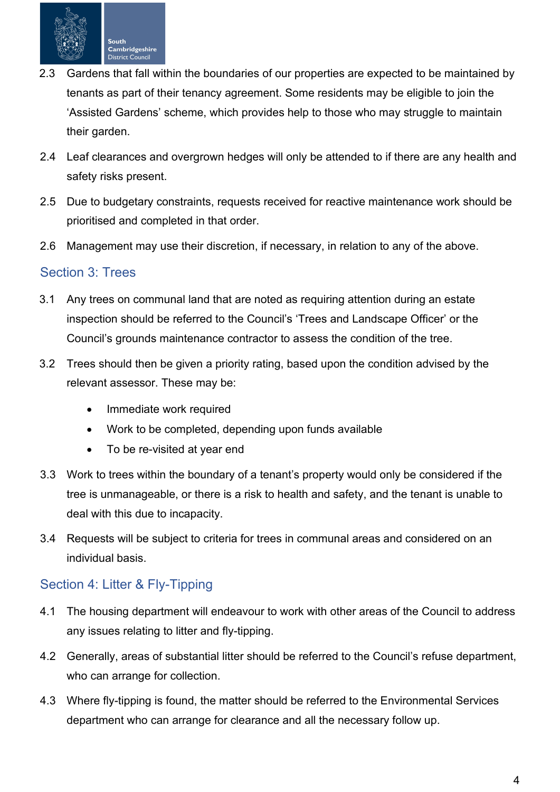

- 2.3 Gardens that fall within the boundaries of our properties are expected to be maintained by tenants as part of their tenancy agreement. Some residents may be eligible to join the 'Assisted Gardens' scheme, which provides help to those who may struggle to maintain their garden.
- 2.4 Leaf clearances and overgrown hedges will only be attended to if there are any health and safety risks present.
- 2.5 Due to budgetary constraints, requests received for reactive maintenance work should be prioritised and completed in that order.
- 2.6 Management may use their discretion, if necessary, in relation to any of the above.

#### <span id="page-3-0"></span>Section 3: Trees

- 3.1 Any trees on communal land that are noted as requiring attention during an estate inspection should be referred to the Council's 'Trees and Landscape Officer' or the Council's grounds maintenance contractor to assess the condition of the tree.
- 3.2 Trees should then be given a priority rating, based upon the condition advised by the relevant assessor. These may be:
	- Immediate work required
	- Work to be completed, depending upon funds available
	- To be re-visited at year end
- 3.3 Work to trees within the boundary of a tenant's property would only be considered if the tree is unmanageable, or there is a risk to health and safety, and the tenant is unable to deal with this due to incapacity.
- 3.4 Requests will be subject to criteria for trees in communal areas and considered on an individual basis.

## <span id="page-3-1"></span>Section 4: Litter & Fly-Tipping

- 4.1 The housing department will endeavour to work with other areas of the Council to address any issues relating to litter and fly-tipping.
- 4.2 Generally, areas of substantial litter should be referred to the Council's refuse department, who can arrange for collection.
- 4.3 Where fly-tipping is found, the matter should be referred to the Environmental Services department who can arrange for clearance and all the necessary follow up.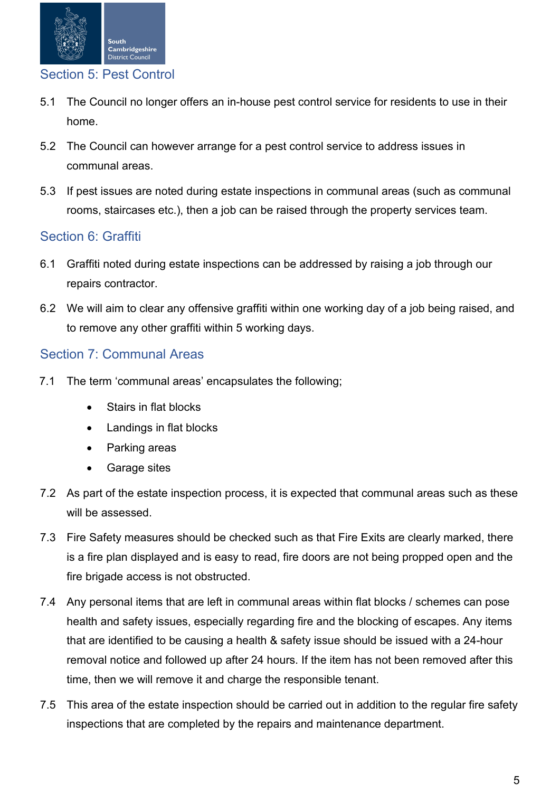

## <span id="page-4-0"></span>Section 5: Pest Control

- 5.1 The Council no longer offers an in-house pest control service for residents to use in their home.
- 5.2 The Council can however arrange for a pest control service to address issues in communal areas.
- 5.3 If pest issues are noted during estate inspections in communal areas (such as communal rooms, staircases etc.), then a job can be raised through the property services team.

## <span id="page-4-1"></span>Section 6: Graffiti

- 6.1 Graffiti noted during estate inspections can be addressed by raising a job through our repairs contractor.
- 6.2 We will aim to clear any offensive graffiti within one working day of a job being raised, and to remove any other graffiti within 5 working days.

## <span id="page-4-2"></span>Section 7: Communal Areas

- 7.1 The term 'communal areas' encapsulates the following;
	- Stairs in flat blocks
	- Landings in flat blocks
	- Parking areas
	- Garage sites
- 7.2 As part of the estate inspection process, it is expected that communal areas such as these will be assessed.
- 7.3 Fire Safety measures should be checked such as that Fire Exits are clearly marked, there is a fire plan displayed and is easy to read, fire doors are not being propped open and the fire brigade access is not obstructed.
- 7.4 Any personal items that are left in communal areas within flat blocks / schemes can pose health and safety issues, especially regarding fire and the blocking of escapes. Any items that are identified to be causing a health & safety issue should be issued with a 24-hour removal notice and followed up after 24 hours. If the item has not been removed after this time, then we will remove it and charge the responsible tenant.
- 7.5 This area of the estate inspection should be carried out in addition to the regular fire safety inspections that are completed by the repairs and maintenance department.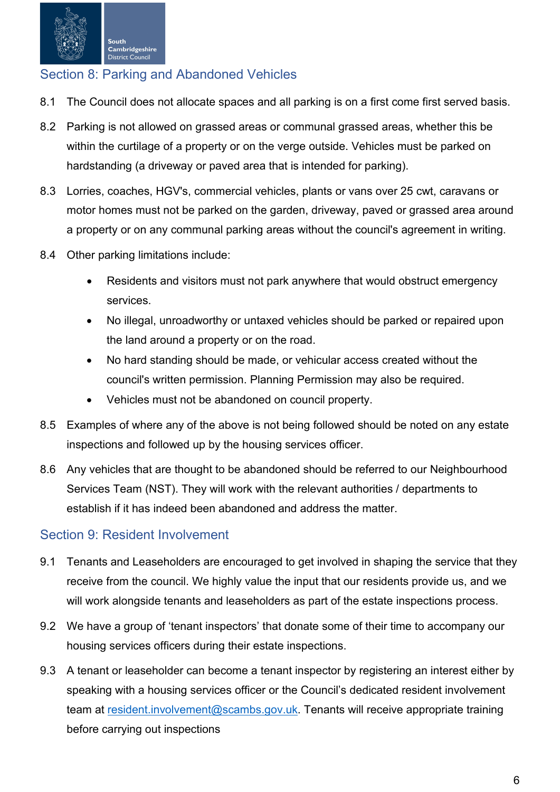

## <span id="page-5-0"></span>Section 8: Parking and Abandoned Vehicles

- 8.1 The Council does not allocate spaces and all parking is on a first come first served basis.
- 8.2 Parking is not allowed on grassed areas or communal grassed areas, whether this be within the curtilage of a property or on the verge outside. Vehicles must be parked on hardstanding (a driveway or paved area that is intended for parking).
- 8.3 Lorries, coaches, HGV's, commercial vehicles, plants or vans over 25 cwt, caravans or motor homes must not be parked on the garden, driveway, paved or grassed area around a property or on any communal parking areas without the council's agreement in writing.
- 8.4 Other parking limitations include:
	- Residents and visitors must not park anywhere that would obstruct emergency services.
	- No illegal, unroadworthy or untaxed vehicles should be parked or repaired upon the land around a property or on the road.
	- No hard standing should be made, or vehicular access created without the council's written permission. Planning Permission may also be required.
	- Vehicles must not be abandoned on council property.
- 8.5 Examples of where any of the above is not being followed should be noted on any estate inspections and followed up by the housing services officer.
- 8.6 Any vehicles that are thought to be abandoned should be referred to our Neighbourhood Services Team (NST). They will work with the relevant authorities / departments to establish if it has indeed been abandoned and address the matter.

#### <span id="page-5-1"></span>Section 9: Resident Involvement

- 9.1 Tenants and Leaseholders are encouraged to get involved in shaping the service that they receive from the council. We highly value the input that our residents provide us, and we will work alongside tenants and leaseholders as part of the estate inspections process.
- 9.2 We have a group of 'tenant inspectors' that donate some of their time to accompany our housing services officers during their estate inspections.
- 9.3 A tenant or leaseholder can become a tenant inspector by registering an interest either by speaking with a housing services officer or the Council's dedicated resident involvement team at resident.involvement@scambs.gov.uk. Tenants will receive appropriate training before carrying out inspections